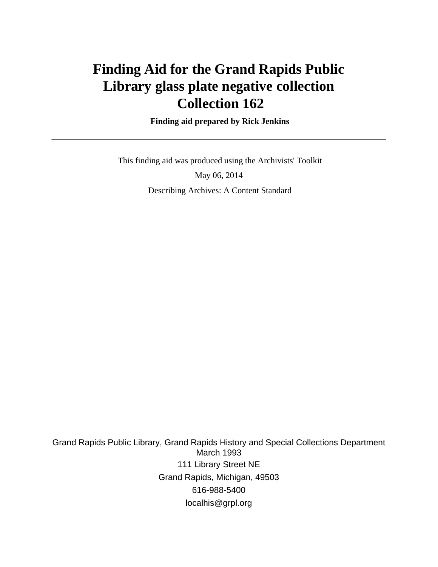# **Finding Aid for the Grand Rapids Public Library glass plate negative collection Collection 162**

 **Finding aid prepared by Rick Jenkins**

 This finding aid was produced using the Archivists' Toolkit May 06, 2014 Describing Archives: A Content Standard

Grand Rapids Public Library, Grand Rapids History and Special Collections Department March 1993 111 Library Street NE Grand Rapids, Michigan, 49503 616-988-5400 localhis@grpl.org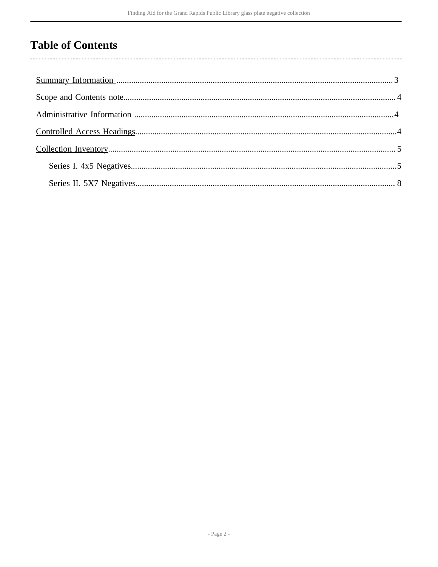## **Table of Contents**

l,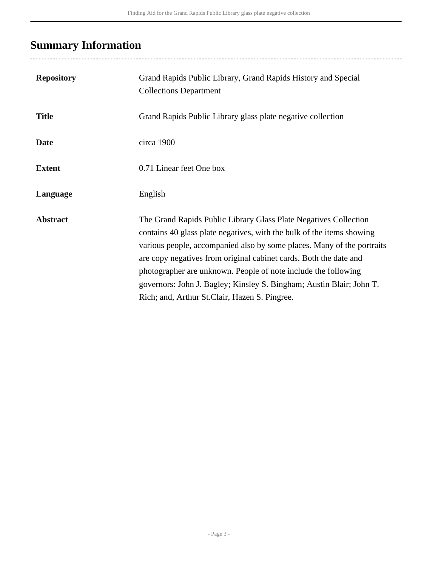## <span id="page-2-0"></span>**Summary Information**

..........................

| <b>Repository</b> | Grand Rapids Public Library, Grand Rapids History and Special<br><b>Collections Department</b>                                                                                                                                                                                                                                                                                                                                                                                      |
|-------------------|-------------------------------------------------------------------------------------------------------------------------------------------------------------------------------------------------------------------------------------------------------------------------------------------------------------------------------------------------------------------------------------------------------------------------------------------------------------------------------------|
| <b>Title</b>      | Grand Rapids Public Library glass plate negative collection                                                                                                                                                                                                                                                                                                                                                                                                                         |
| <b>Date</b>       | circa 1900                                                                                                                                                                                                                                                                                                                                                                                                                                                                          |
| <b>Extent</b>     | 0.71 Linear feet One box                                                                                                                                                                                                                                                                                                                                                                                                                                                            |
| Language          | English                                                                                                                                                                                                                                                                                                                                                                                                                                                                             |
| <b>Abstract</b>   | The Grand Rapids Public Library Glass Plate Negatives Collection<br>contains 40 glass plate negatives, with the bulk of the items showing<br>various people, accompanied also by some places. Many of the portraits<br>are copy negatives from original cabinet cards. Both the date and<br>photographer are unknown. People of note include the following<br>governors: John J. Bagley; Kinsley S. Bingham; Austin Blair; John T.<br>Rich; and, Arthur St.Clair, Hazen S. Pingree. |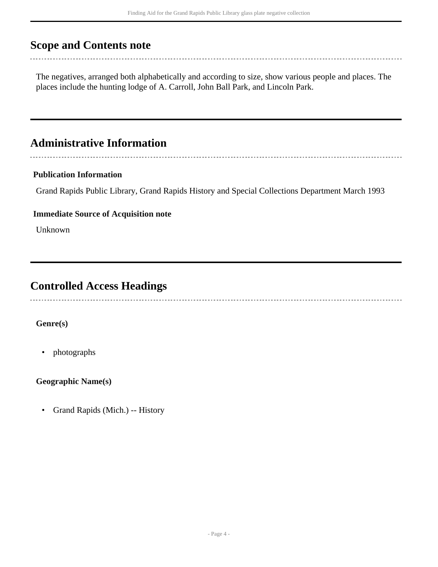## <span id="page-3-0"></span>**Scope and Contents note**

The negatives, arranged both alphabetically and according to size, show various people and places. The places include the hunting lodge of A. Carroll, John Ball Park, and Lincoln Park.

### <span id="page-3-1"></span>**Administrative Information**

### **Publication Information**

Grand Rapids Public Library, Grand Rapids History and Special Collections Department March 1993

#### **Immediate Source of Acquisition note**

Unknown

### <span id="page-3-2"></span>**Controlled Access Headings**

### **Genre(s)**

• photographs

### **Geographic Name(s)**

• Grand Rapids (Mich.) -- History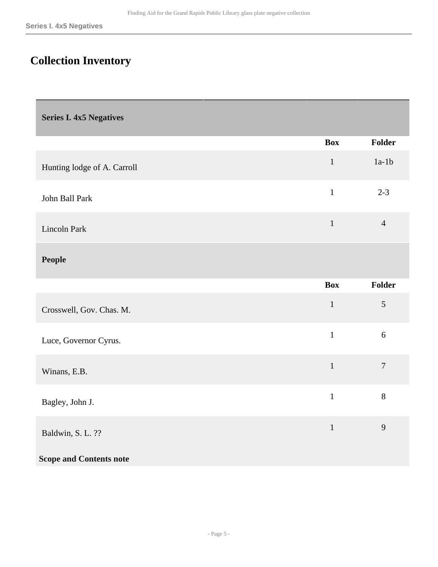## <span id="page-4-0"></span>**Collection Inventory**

<span id="page-4-1"></span>**Series I. 4x5 Negatives** 

|                                | <b>Box</b>   | <b>Folder</b>  |
|--------------------------------|--------------|----------------|
| Hunting lodge of A. Carroll    | $\mathbf 1$  | $1a-1b$        |
| John Ball Park                 | $\mathbf{1}$ | $2 - 3$        |
| Lincoln Park                   | $\mathbf{1}$ | $\overline{4}$ |
| <b>People</b>                  |              |                |
|                                | <b>Box</b>   | Folder         |
| Crosswell, Gov. Chas. M.       | $\mathbf{1}$ | 5              |
| Luce, Governor Cyrus.          | $\mathbf{1}$ | $6\,$          |
| Winans, E.B.                   | $\mathbf{1}$ | $\overline{7}$ |
| Bagley, John J.                | $\mathbf{1}$ | $8\,$          |
| Baldwin, S. L. ??              | $\mathbf{1}$ | 9              |
| <b>Scope and Contents note</b> |              |                |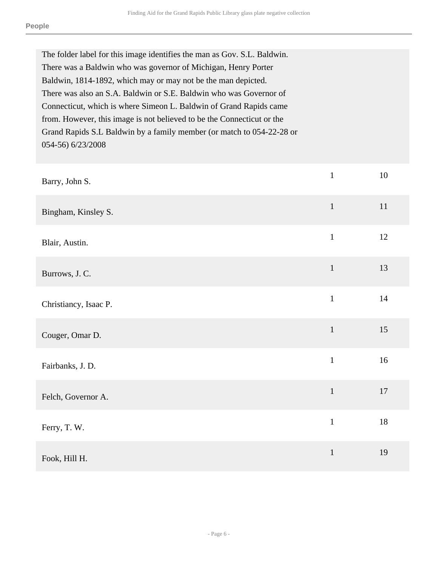| The folder label for this image identifies the man as Gov. S.L. Baldwin.<br>There was a Baldwin who was governor of Michigan, Henry Porter<br>Baldwin, 1814-1892, which may or may not be the man depicted.                                                                                                      |              |    |
|------------------------------------------------------------------------------------------------------------------------------------------------------------------------------------------------------------------------------------------------------------------------------------------------------------------|--------------|----|
| There was also an S.A. Baldwin or S.E. Baldwin who was Governor of<br>Connecticut, which is where Simeon L. Baldwin of Grand Rapids came<br>from. However, this image is not believed to be the Connecticut or the<br>Grand Rapids S.L Baldwin by a family member (or match to 054-22-28 or<br>054-56) 6/23/2008 |              |    |
| Barry, John S.                                                                                                                                                                                                                                                                                                   | $\mathbf{1}$ | 10 |
| Bingham, Kinsley S.                                                                                                                                                                                                                                                                                              | $\mathbf{1}$ | 11 |
| Blair, Austin.                                                                                                                                                                                                                                                                                                   | $\mathbf{1}$ | 12 |
| Burrows, J. C.                                                                                                                                                                                                                                                                                                   | $\mathbf{1}$ | 13 |
| Christiancy, Isaac P.                                                                                                                                                                                                                                                                                            | $\mathbf{1}$ | 14 |
| Couger, Omar D.                                                                                                                                                                                                                                                                                                  | $\mathbf{1}$ | 15 |
| Fairbanks, J. D.                                                                                                                                                                                                                                                                                                 | $\mathbf{1}$ | 16 |
| Felch, Governor A.                                                                                                                                                                                                                                                                                               | $\mathbf{1}$ | 17 |
| Ferry, T. W.                                                                                                                                                                                                                                                                                                     | $\mathbf{1}$ | 18 |
| Fook, Hill H.                                                                                                                                                                                                                                                                                                    | $\mathbf{1}$ | 19 |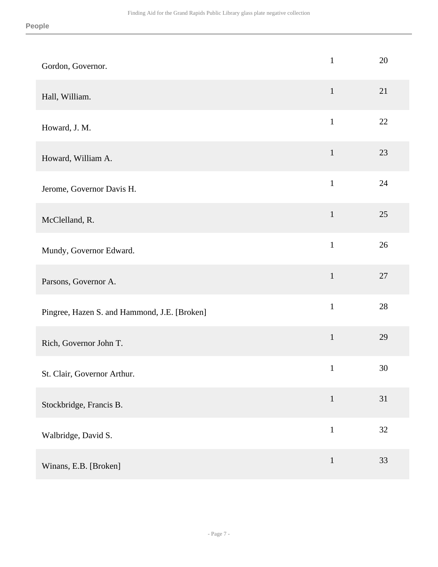| Gordon, Governor.                            | $\mathbf{1}$ | 20 |
|----------------------------------------------|--------------|----|
| Hall, William.                               | $\mathbf{1}$ | 21 |
| Howard, J. M.                                | $\mathbf{1}$ | 22 |
| Howard, William A.                           | $\mathbf{1}$ | 23 |
| Jerome, Governor Davis H.                    | $\mathbf{1}$ | 24 |
| McClelland, R.                               | $\mathbf{1}$ | 25 |
| Mundy, Governor Edward.                      | $\mathbf{1}$ | 26 |
| Parsons, Governor A.                         | $\mathbf{1}$ | 27 |
| Pingree, Hazen S. and Hammond, J.E. [Broken] | $\mathbf{1}$ | 28 |
| Rich, Governor John T.                       | $\mathbf 1$  | 29 |
| St. Clair, Governor Arthur.                  | $\mathbf{1}$ | 30 |
| Stockbridge, Francis B.                      | $\mathbf{1}$ | 31 |
| Walbridge, David S.                          | $\mathbf{1}$ | 32 |
| Winans, E.B. [Broken]                        | $\mathbf{1}$ | 33 |